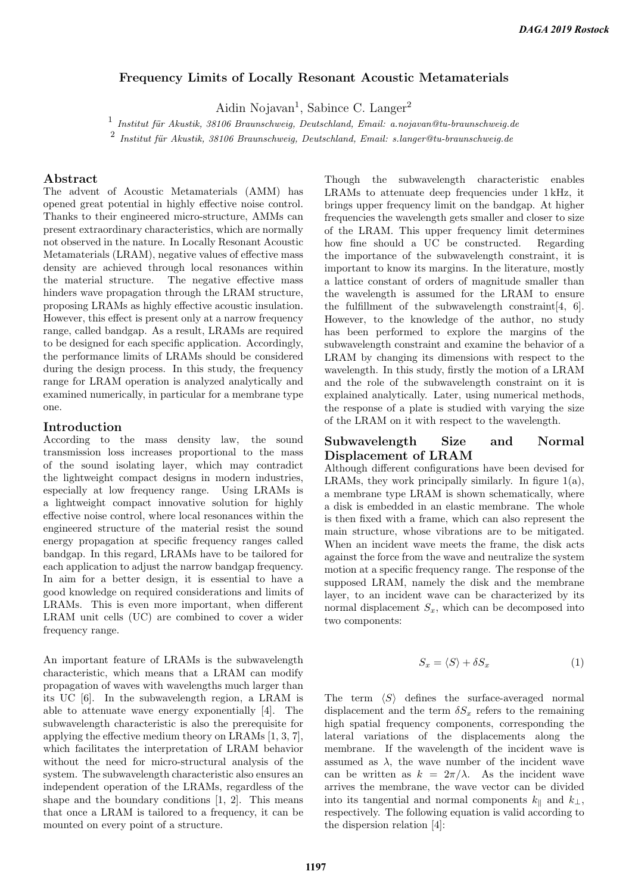# Frequency Limits of Locally Resonant Acoustic Metamaterials

Aidin Nojavan<sup>1</sup>, Sabince C. Langer<sup>2</sup>

 $\frac{1}{1}$  Institut für Akustik, 38106 Braunschweig, Deutschland, Email: a.nojavan@tu-braunschweig.de

 $^2$  Institut für Akustik, 38106 Braunschweig, Deutschland, Email: s.langer@tu-braunschweig.de

## Abstract

The advent of Acoustic Metamaterials (AMM) has opened great potential in highly effective noise control. Thanks to their engineered micro-structure, AMMs can present extraordinary characteristics, which are normally not observed in the nature. In Locally Resonant Acoustic Metamaterials (LRAM), negative values of effective mass density are achieved through local resonances within the material structure. The negative effective mass hinders wave propagation through the LRAM structure, proposing LRAMs as highly effective acoustic insulation. However, this effect is present only at a narrow frequency range, called bandgap. As a result, LRAMs are required to be designed for each specific application. Accordingly, the performance limits of LRAMs should be considered during the design process. In this study, the frequency range for LRAM operation is analyzed analytically and examined numerically, in particular for a membrane type one.

#### Introduction

According to the mass density law, the sound transmission loss increases proportional to the mass of the sound isolating layer, which may contradict the lightweight compact designs in modern industries, especially at low frequency range. Using LRAMs is a lightweight compact innovative solution for highly effective noise control, where local resonances within the engineered structure of the material resist the sound energy propagation at specific frequency ranges called bandgap. In this regard, LRAMs have to be tailored for each application to adjust the narrow bandgap frequency. In aim for a better design, it is essential to have a good knowledge on required considerations and limits of LRAMs. This is even more important, when different LRAM unit cells (UC) are combined to cover a wider frequency range.

An important feature of LRAMs is the subwavelength characteristic, which means that a LRAM can modify propagation of waves with wavelengths much larger than its UC [6]. In the subwavelength region, a LRAM is able to attenuate wave energy exponentially [4]. The subwavelength characteristic is also the prerequisite for applying the effective medium theory on LRAMs [1, 3, 7], which facilitates the interpretation of LRAM behavior without the need for micro-structural analysis of the system. The subwavelength characteristic also ensures an independent operation of the LRAMs, regardless of the shape and the boundary conditions [1, 2]. This means that once a LRAM is tailored to a frequency, it can be mounted on every point of a structure.

Though the subwavelength characteristic enables LRAMs to attenuate deep frequencies under 1 kHz, it brings upper frequency limit on the bandgap. At higher frequencies the wavelength gets smaller and closer to size of the LRAM. This upper frequency limit determines how fine should a UC be constructed. Regarding the importance of the subwavelength constraint, it is important to know its margins. In the literature, mostly a lattice constant of orders of magnitude smaller than the wavelength is assumed for the LRAM to ensure the fulfillment of the subwavelength constraint[4, 6]. However, to the knowledge of the author, no study has been performed to explore the margins of the subwavelength constraint and examine the behavior of a LRAM by changing its dimensions with respect to the wavelength. In this study, firstly the motion of a LRAM and the role of the subwavelength constraint on it is explained analytically. Later, using numerical methods, the response of a plate is studied with varying the size of the LRAM on it with respect to the wavelength.

### Subwavelength Size and Normal Displacement of LRAM

Although different configurations have been devised for LRAMs, they work principally similarly. In figure 1(a), a membrane type LRAM is shown schematically, where a disk is embedded in an elastic membrane. The whole is then fixed with a frame, which can also represent the main structure, whose vibrations are to be mitigated. When an incident wave meets the frame, the disk acts against the force from the wave and neutralize the system motion at a specific frequency range. The response of the supposed LRAM, namely the disk and the membrane layer, to an incident wave can be characterized by its normal displacement  $S_x$ , which can be decomposed into two components:

$$
S_x = \langle S \rangle + \delta S_x \tag{1}
$$

The term  $\langle S \rangle$  defines the surface-averaged normal displacement and the term  $\delta S_x$  refers to the remaining high spatial frequency components, corresponding the lateral variations of the displacements along the membrane. If the wavelength of the incident wave is assumed as  $\lambda$ , the wave number of the incident wave can be written as  $k = 2\pi/\lambda$ . As the incident wave arrives the membrane, the wave vector can be divided into its tangential and normal components  $k_{\parallel}$  and  $k_{\perp}$ , respectively. The following equation is valid according to the dispersion relation [4]: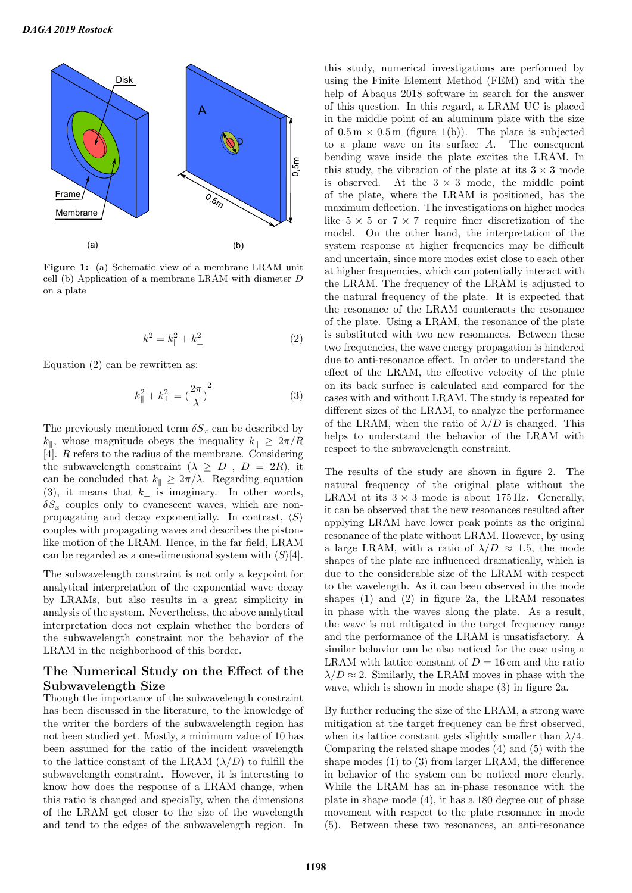

Figure 1: (a) Schematic view of a membrane LRAM unit cell (b) Application of a membrane LRAM with diameter D on a plate

$$
k^2 = k_{\parallel}^2 + k_{\perp}^2
$$
 (2)

Equation (2) can be rewritten as:

$$
k_{\parallel}^{2} + k_{\perp}^{2} = \left(\frac{2\pi}{\lambda}\right)^{2}
$$
 (3)

The previously mentioned term  $\delta S_x$  can be described by  $k_{\parallel}$ , whose magnitude obeys the inequality  $k_{\parallel} \geq 2\pi/R$ [4]. R refers to the radius of the membrane. Considering the subwavelength constraint  $(\lambda \geq D, D = 2R)$ , it can be concluded that  $k_{\parallel} \geq 2\pi/\lambda$ . Regarding equation (3), it means that  $k_{\perp}$  is imaginary. In other words,  $\delta S_x$  couples only to evanescent waves, which are nonpropagating and decay exponentially. In contrast,  $\langle S \rangle$ couples with propagating waves and describes the pistonlike motion of the LRAM. Hence, in the far field, LRAM can be regarded as a one-dimensional system with  $\langle S \rangle$ [4].

The subwavelength constraint is not only a keypoint for analytical interpretation of the exponential wave decay by LRAMs, but also results in a great simplicity in analysis of the system. Nevertheless, the above analytical interpretation does not explain whether the borders of the subwavelength constraint nor the behavior of the LRAM in the neighborhood of this border.

# The Numerical Study on the Effect of the Subwavelength Size

Though the importance of the subwavelength constraint has been discussed in the literature, to the knowledge of the writer the borders of the subwavelength region has not been studied yet. Mostly, a minimum value of 10 has been assumed for the ratio of the incident wavelength to the lattice constant of the LRAM  $(\lambda/D)$  to fulfill the subwavelength constraint. However, it is interesting to know how does the response of a LRAM change, when this ratio is changed and specially, when the dimensions of the LRAM get closer to the size of the wavelength and tend to the edges of the subwavelength region. In this study, numerical investigations are performed by using the Finite Element Method (FEM) and with the help of Abaqus 2018 software in search for the answer of this question. In this regard, a LRAM UC is placed in the middle point of an aluminum plate with the size of  $0.5 \text{ m} \times 0.5 \text{ m}$  (figure 1(b)). The plate is subjected to a plane wave on its surface A. The consequent bending wave inside the plate excites the LRAM. In this study, the vibration of the plate at its  $3 \times 3$  mode is observed. At the  $3 \times 3$  mode, the middle point of the plate, where the LRAM is positioned, has the maximum deflection. The investigations on higher modes like  $5 \times 5$  or  $7 \times 7$  require finer discretization of the model. On the other hand, the interpretation of the system response at higher frequencies may be difficult and uncertain, since more modes exist close to each other at higher frequencies, which can potentially interact with the LRAM. The frequency of the LRAM is adjusted to the natural frequency of the plate. It is expected that the resonance of the LRAM counteracts the resonance of the plate. Using a LRAM, the resonance of the plate is substituted with two new resonances. Between these two frequencies, the wave energy propagation is hindered due to anti-resonance effect. In order to understand the effect of the LRAM, the effective velocity of the plate on its back surface is calculated and compared for the cases with and without LRAM. The study is repeated for different sizes of the LRAM, to analyze the performance of the LRAM, when the ratio of  $\lambda/D$  is changed. This helps to understand the behavior of the LRAM with respect to the subwavelength constraint.

The results of the study are shown in figure 2. The natural frequency of the original plate without the LRAM at its  $3 \times 3$  mode is about 175 Hz. Generally, it can be observed that the new resonances resulted after applying LRAM have lower peak points as the original resonance of the plate without LRAM. However, by using a large LRAM, with a ratio of  $\lambda/D \approx 1.5$ , the mode shapes of the plate are influenced dramatically, which is due to the considerable size of the LRAM with respect to the wavelength. As it can been observed in the mode shapes (1) and (2) in figure 2a, the LRAM resonates in phase with the waves along the plate. As a result, the wave is not mitigated in the target frequency range and the performance of the LRAM is unsatisfactory. A similar behavior can be also noticed for the case using a LRAM with lattice constant of  $D = 16$  cm and the ratio  $\lambda/D \approx 2$ . Similarly, the LRAM moves in phase with the wave, which is shown in mode shape (3) in figure 2a.

By further reducing the size of the LRAM, a strong wave mitigation at the target frequency can be first observed, when its lattice constant gets slightly smaller than  $\lambda/4$ . Comparing the related shape modes (4) and (5) with the shape modes (1) to (3) from larger LRAM, the difference in behavior of the system can be noticed more clearly. While the LRAM has an in-phase resonance with the plate in shape mode (4), it has a 180 degree out of phase movement with respect to the plate resonance in mode (5). Between these two resonances, an anti-resonance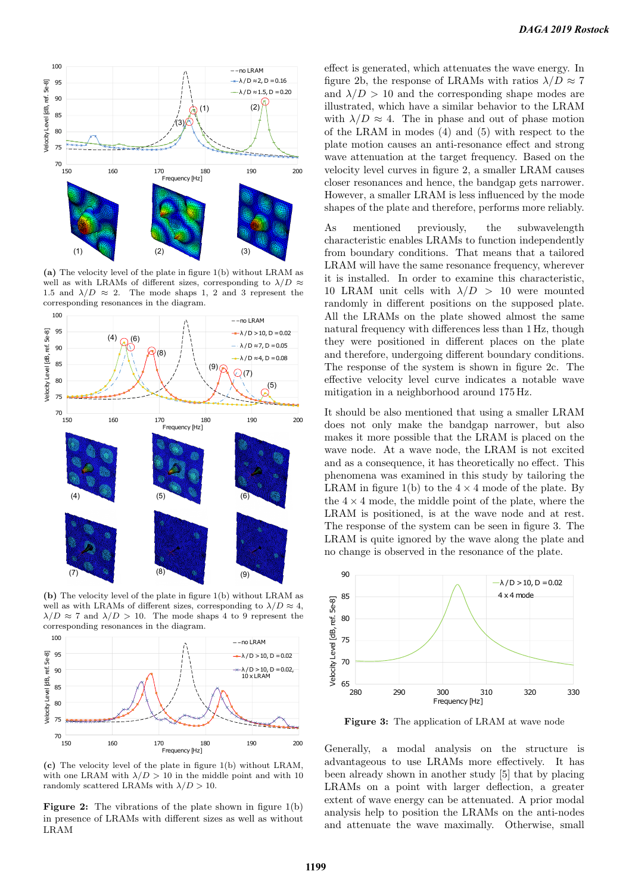

(a) The velocity level of the plate in figure 1(b) without LRAM as well as with LRAMs of different sizes, corresponding to  $\lambda/D \approx$ 1.5 and  $\lambda/D \approx 2$ . The mode shaps 1, 2 and 3 represent the corresponding resonances in the diagram.



(b) The velocity level of the plate in figure 1(b) without LRAM as well as with LRAMs of different sizes, corresponding to  $\lambda/D \approx 4$ ,  $\lambda/D \approx 7$  and  $\lambda/D > 10$ . The mode shaps 4 to 9 represent the corresponding resonances in the diagram.



(c) The velocity level of the plate in figure 1(b) without LRAM, with one LRAM with  $\lambda/D > 10$  in the middle point and with 10 randomly scattered LRAMs with  $\lambda/D > 10$ .

Figure 2: The vibrations of the plate shown in figure 1(b) in presence of LRAMs with different sizes as well as without LRAM

effect is generated, which attenuates the wave energy. In figure 2b, the response of LRAMs with ratios  $\lambda/D \approx 7$ and  $\lambda/D > 10$  and the corresponding shape modes are illustrated, which have a similar behavior to the LRAM with  $\lambda/D \approx 4$ . The in phase and out of phase motion of the LRAM in modes (4) and (5) with respect to the plate motion causes an anti-resonance effect and strong wave attenuation at the target frequency. Based on the velocity level curves in figure 2, a smaller LRAM causes closer resonances and hence, the bandgap gets narrower. However, a smaller LRAM is less influenced by the mode shapes of the plate and therefore, performs more reliably.

As mentioned previously, the subwavelength characteristic enables LRAMs to function independently from boundary conditions. That means that a tailored LRAM will have the same resonance frequency, wherever it is installed. In order to examine this characteristic, 10 LRAM unit cells with  $\lambda/D > 10$  were mounted randomly in different positions on the supposed plate. All the LRAMs on the plate showed almost the same natural frequency with differences less than 1 Hz, though they were positioned in different places on the plate and therefore, undergoing different boundary conditions. The response of the system is shown in figure 2c. The effective velocity level curve indicates a notable wave mitigation in a neighborhood around 175 Hz.

It should be also mentioned that using a smaller LRAM does not only make the bandgap narrower, but also makes it more possible that the LRAM is placed on the wave node. At a wave node, the LRAM is not excited and as a consequence, it has theoretically no effect. This phenomena was examined in this study by tailoring the LRAM in figure 1(b) to the  $4 \times 4$  mode of the plate. By the  $4 \times 4$  mode, the middle point of the plate, where the LRAM is positioned, is at the wave node and at rest. The response of the system can be seen in figure 3. The LRAM is quite ignored by the wave along the plate and no change is observed in the resonance of the plate.



Figure 3: The application of LRAM at wave node

Generally, a modal analysis on the structure is advantageous to use LRAMs more effectively. It has been already shown in another study [5] that by placing LRAMs on a point with larger deflection, a greater extent of wave energy can be attenuated. A prior modal analysis help to position the LRAMs on the anti-nodes and attenuate the wave maximally. Otherwise, small